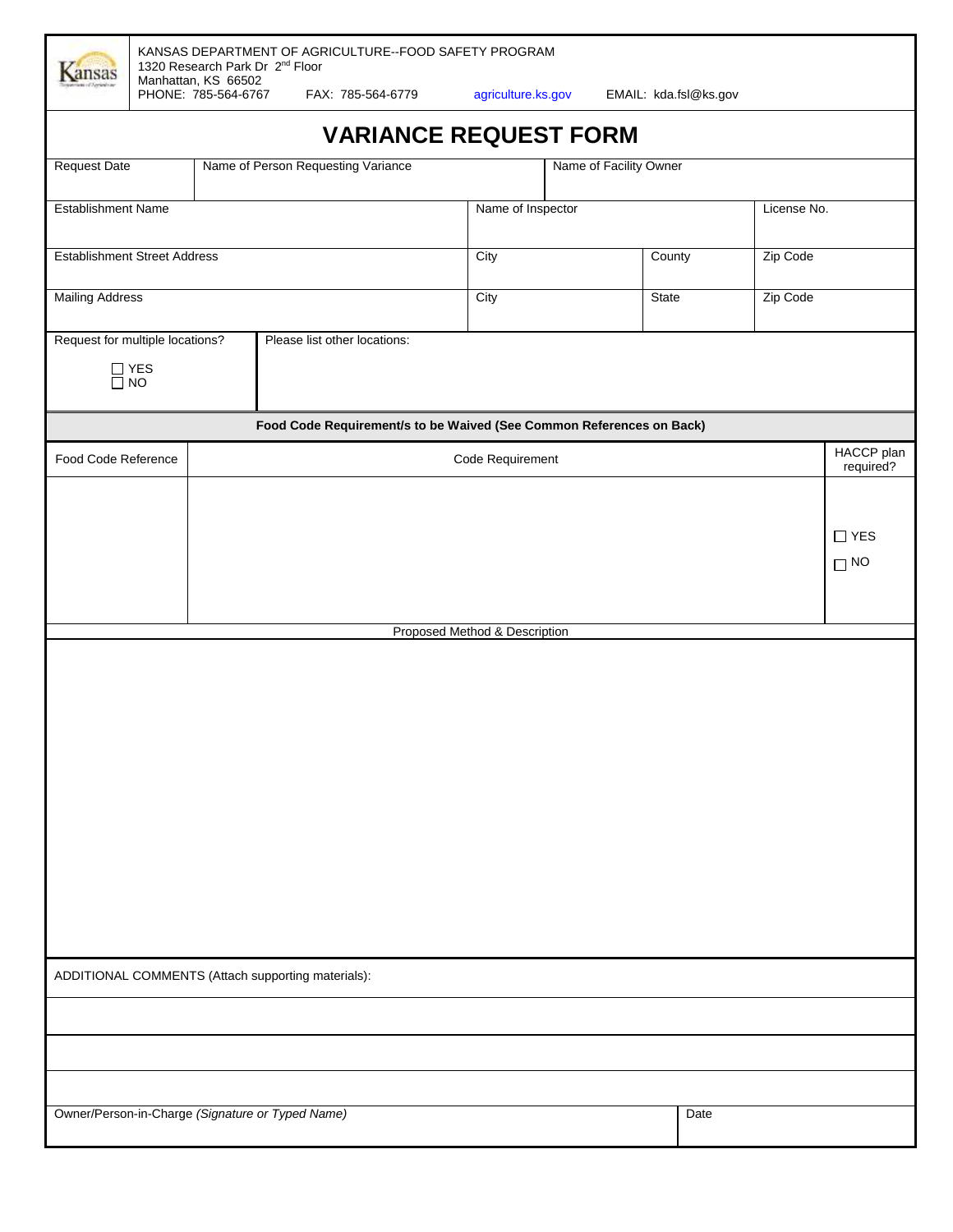| <b><i><u>Ansas</u></i></b>                                                               |                               | 1320 Research Park Dr 2 <sup>nd</sup> Floor<br>Manhattan, KS 66502 |  |                   |                                    |      | KANSAS DEPARTMENT OF AGRICULTURE--FOOD SAFETY PROGRAM                |             |                        |                         |  |            |
|------------------------------------------------------------------------------------------|-------------------------------|--------------------------------------------------------------------|--|-------------------|------------------------------------|------|----------------------------------------------------------------------|-------------|------------------------|-------------------------|--|------------|
|                                                                                          |                               | PHONE: 785-564-6767                                                |  |                   | FAX: 785-564-6779                  |      | agriculture.ks.gov                                                   |             |                        | EMAIL: kda.fsl@ks.gov   |  |            |
|                                                                                          |                               |                                                                    |  |                   |                                    |      | <b>VARIANCE REQUEST FORM</b>                                         |             |                        |                         |  |            |
| <b>Request Date</b>                                                                      |                               |                                                                    |  |                   | Name of Person Requesting Variance |      |                                                                      |             | Name of Facility Owner |                         |  |            |
| <b>Establishment Name</b>                                                                |                               |                                                                    |  | Name of Inspector |                                    |      |                                                                      | License No. |                        |                         |  |            |
| <b>Establishment Street Address</b>                                                      |                               |                                                                    |  |                   |                                    | City |                                                                      | County      | Zip Code               |                         |  |            |
| <b>Mailing Address</b>                                                                   |                               |                                                                    |  |                   |                                    | City |                                                                      |             | State                  | Zip Code                |  |            |
|                                                                                          |                               |                                                                    |  |                   |                                    |      |                                                                      |             |                        |                         |  |            |
| Request for multiple locations?<br>Please list other locations:<br>$\prod_{n=1}^{n}$ YES |                               |                                                                    |  |                   |                                    |      |                                                                      |             |                        |                         |  |            |
|                                                                                          |                               |                                                                    |  |                   |                                    |      | Food Code Requirement/s to be Waived (See Common References on Back) |             |                        |                         |  |            |
|                                                                                          | Food Code Reference           |                                                                    |  |                   | Code Requirement                   |      |                                                                      |             |                        | HACCP plan<br>required? |  |            |
|                                                                                          |                               |                                                                    |  |                   |                                    |      |                                                                      |             |                        |                         |  |            |
|                                                                                          |                               |                                                                    |  |                   |                                    |      |                                                                      |             |                        |                         |  | $\Box$ YES |
|                                                                                          |                               |                                                                    |  |                   |                                    |      |                                                                      |             |                        |                         |  | $\Box$ NO  |
|                                                                                          |                               |                                                                    |  |                   |                                    |      |                                                                      |             |                        |                         |  |            |
|                                                                                          | Proposed Method & Description |                                                                    |  |                   |                                    |      |                                                                      |             |                        |                         |  |            |
|                                                                                          |                               |                                                                    |  |                   |                                    |      |                                                                      |             |                        |                         |  |            |
|                                                                                          |                               |                                                                    |  |                   |                                    |      |                                                                      |             |                        |                         |  |            |
|                                                                                          |                               |                                                                    |  |                   |                                    |      |                                                                      |             |                        |                         |  |            |
|                                                                                          |                               |                                                                    |  |                   |                                    |      |                                                                      |             |                        |                         |  |            |
|                                                                                          |                               |                                                                    |  |                   |                                    |      |                                                                      |             |                        |                         |  |            |
|                                                                                          |                               |                                                                    |  |                   |                                    |      |                                                                      |             |                        |                         |  |            |
|                                                                                          |                               |                                                                    |  |                   |                                    |      |                                                                      |             |                        |                         |  |            |
|                                                                                          |                               |                                                                    |  |                   |                                    |      |                                                                      |             |                        |                         |  |            |
|                                                                                          |                               |                                                                    |  |                   |                                    |      |                                                                      |             |                        |                         |  |            |
| ADDITIONAL COMMENTS (Attach supporting materials):                                       |                               |                                                                    |  |                   |                                    |      |                                                                      |             |                        |                         |  |            |
|                                                                                          |                               |                                                                    |  |                   |                                    |      |                                                                      |             |                        |                         |  |            |
|                                                                                          |                               |                                                                    |  |                   |                                    |      |                                                                      |             |                        |                         |  |            |
|                                                                                          |                               |                                                                    |  |                   |                                    |      |                                                                      |             |                        |                         |  |            |
| Owner/Person-in-Charge (Signature or Typed Name)<br>Date                                 |                               |                                                                    |  |                   |                                    |      |                                                                      |             |                        |                         |  |            |
|                                                                                          |                               |                                                                    |  |                   |                                    |      |                                                                      |             |                        |                         |  |            |